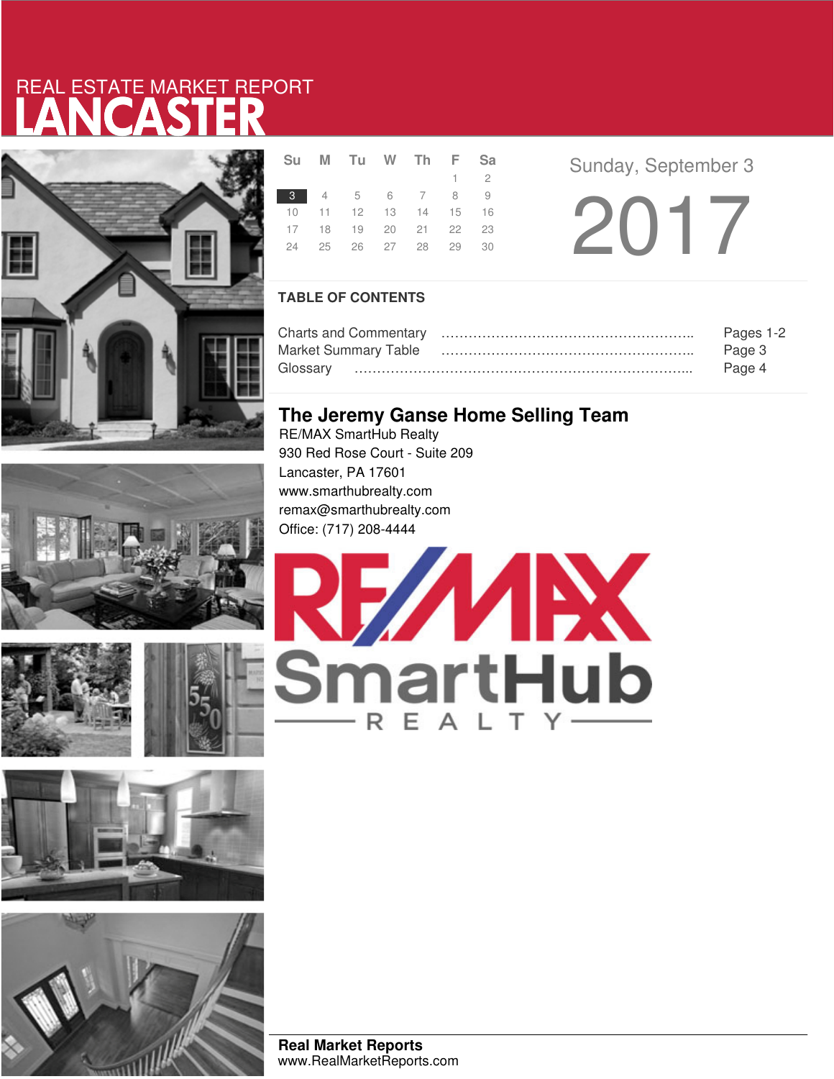# LANCASTER REAL ESTATE MARKET REPORT









**Real Market Reports** www.RealMarketReports.com

|  | Su M Tu W Th F Sa          |  |             |  |
|--|----------------------------|--|-------------|--|
|  |                            |  | $1 \quad 2$ |  |
|  | 3 4 5 6 7 8 9              |  |             |  |
|  | 10 11 12 13 14 15 16       |  |             |  |
|  | 17 18 19 20 21 22 23       |  |             |  |
|  | 24  25  26  27  28  29  30 |  |             |  |
|  |                            |  |             |  |

**a Sunday**, September 3  $32017$ 

### **TABLE OF CONTENTS**

|                             | Pages 1-2 |
|-----------------------------|-----------|
| <b>Market Summary Table</b> | Page 3    |
|                             | Page 4    |

### **The Jeremy Ganse Home Selling Team**

RE/MAX SmartHub Realty 930 Red Rose Court - Suite 209 Lancaster, PA 17601 www.smarthubrealty.com remax@smarthubrealty.com Office: (717) 208-4444

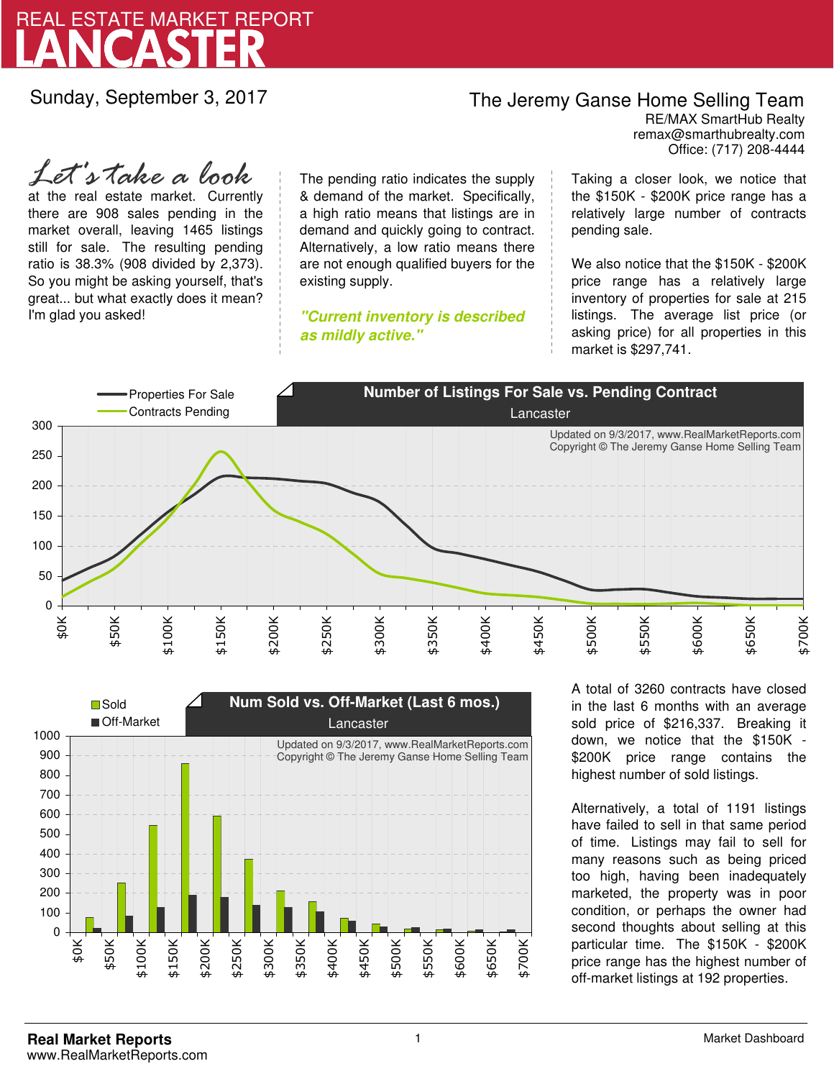

Sunday, September 3, 2017

## The Jeremy Ganse Home Selling Team

remax@smarthubrealty.com RE/MAX SmartHub Realty Office: (717) 208-4444

at the real estate market. Currently there are 908 sales pending in the market overall, leaving 1465 listings still for sale. The resulting pending ratio is 38.3% (908 divided by 2,373). So you might be asking yourself, that's great... but what exactly does it mean? I'm glad you asked! *Let's take a look*

The pending ratio indicates the supply & demand of the market. Specifically, a high ratio means that listings are in demand and quickly going to contract. Alternatively, a low ratio means there are not enough qualified buyers for the existing supply.

**"Current inventory is described as mildly active."**

Taking a closer look, we notice that the \$150K - \$200K price range has a relatively large number of contracts pending sale.

We also notice that the \$150K - \$200K price range has a relatively large inventory of properties for sale at 215 listings. The average list price (or asking price) for all properties in this market is \$297,741.





A total of 3260 contracts have closed in the last 6 months with an average sold price of \$216,337. Breaking it down, we notice that the \$150K - \$200K price range contains the highest number of sold listings.

Alternatively, a total of 1191 listings have failed to sell in that same period of time. Listings may fail to sell for many reasons such as being priced too high, having been inadequately marketed, the property was in poor condition, or perhaps the owner had second thoughts about selling at this particular time. The \$150K - \$200K price range has the highest number of off-market listings at 192 properties.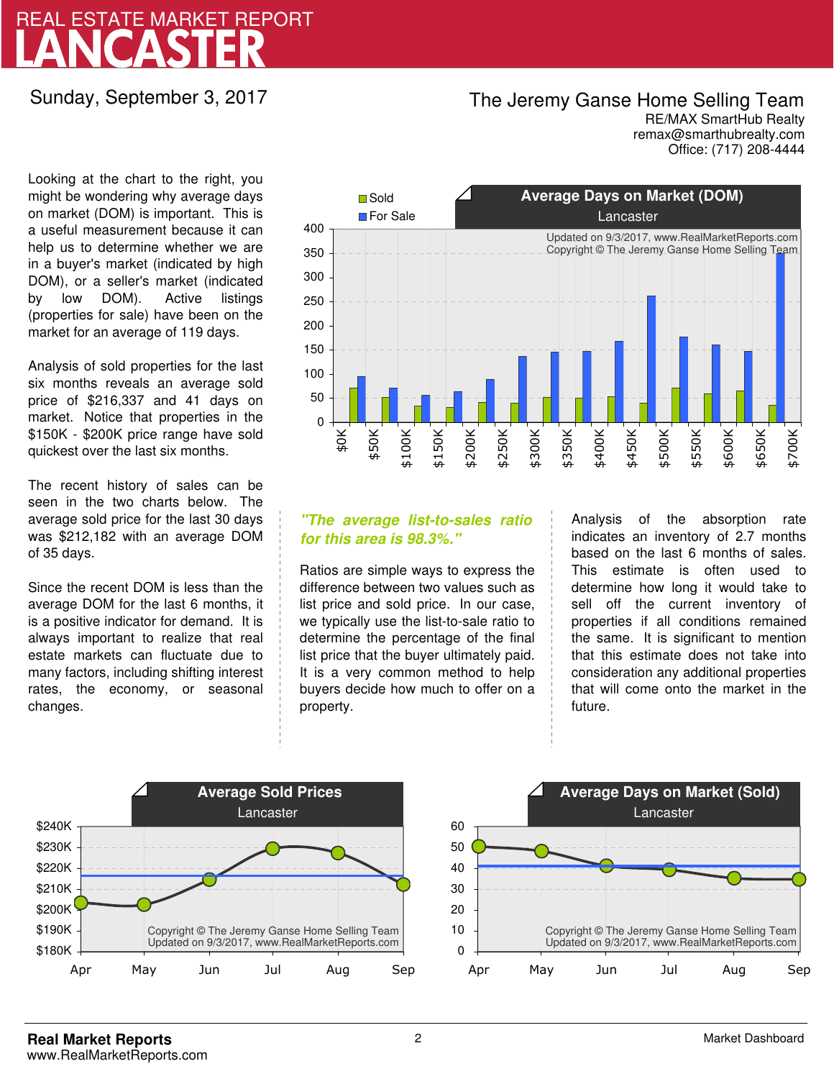# LANCASTER REAL ESTATE MARKET REPORT

Sunday, September 3, 2017

## The Jeremy Ganse Home Selling Team

remax@smarthubrealty.com RE/MAX SmartHub Realty Office: (717) 208-4444

Looking at the chart to the right, you might be wondering why average days on market (DOM) is important. This is a useful measurement because it can help us to determine whether we are in a buyer's market (indicated by high DOM), or a seller's market (indicated by low DOM). Active listings (properties for sale) have been on the market for an average of 119 days.

Analysis of sold properties for the last six months reveals an average sold price of \$216,337 and 41 days on market. Notice that properties in the \$150K - \$200K price range have sold quickest over the last six months.

The recent history of sales can be seen in the two charts below. The average sold price for the last 30 days was \$212,182 with an average DOM of 35 days.

Since the recent DOM is less than the average DOM for the last 6 months, it is a positive indicator for demand. It is always important to realize that real estate markets can fluctuate due to many factors, including shifting interest rates, the economy, or seasonal changes.



### **"The average list-to-sales ratio for this area is 98.3%."**

Ratios are simple ways to express the difference between two values such as list price and sold price. In our case, we typically use the list-to-sale ratio to determine the percentage of the final list price that the buyer ultimately paid. It is a very common method to help buyers decide how much to offer on a property.

Analysis of the absorption rate indicates an inventory of 2.7 months based on the last 6 months of sales. This estimate is often used to determine how long it would take to sell off the current inventory of properties if all conditions remained the same. It is significant to mention that this estimate does not take into consideration any additional properties that will come onto the market in the future.



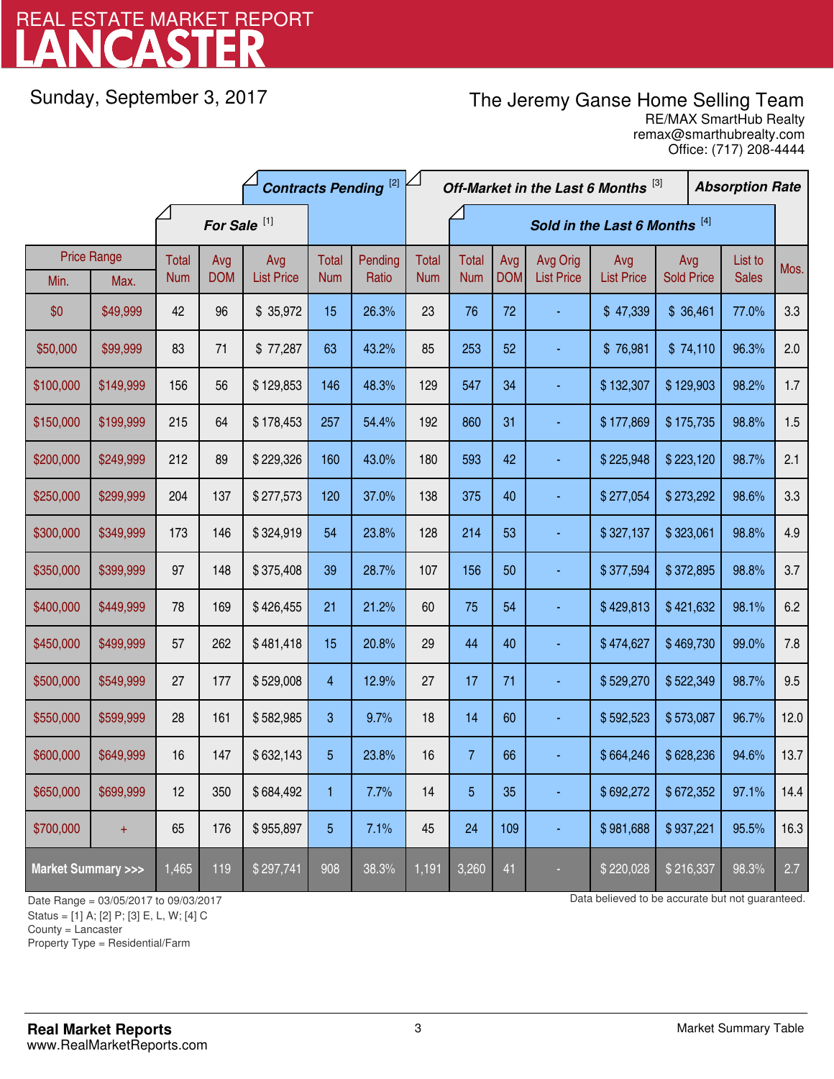# LANCASTER REAL ESTATE MARKET REPORT

Sunday, September 3, 2017

## The Jeremy Ganse Home Selling Team

remax@smarthubrealty.com RE/MAX SmartHub Realty Office: (717) 208-4444

|                                    |                            | <b>Contracts Pending [2]</b> |                         |                          |                     |                  | Off-Market in the Last 6 Months [3] |                            |                   |                               |                          | <b>Absorption Rate</b>   |  |                         |      |       |     |
|------------------------------------|----------------------------|------------------------------|-------------------------|--------------------------|---------------------|------------------|-------------------------------------|----------------------------|-------------------|-------------------------------|--------------------------|--------------------------|--|-------------------------|------|-------|-----|
|                                    |                            |                              | For Sale <sup>[1]</sup> |                          |                     |                  | Sold in the Last 6 Months [4]       |                            |                   |                               |                          |                          |  |                         |      |       |     |
| Min.                               | <b>Price Range</b><br>Max. | Total<br><b>Num</b>          | Avg<br><b>DOM</b>       | Avg<br><b>List Price</b> | Total<br><b>Num</b> | Pending<br>Ratio | Total<br><b>Num</b>                 | <b>Total</b><br><b>Num</b> | Avg<br><b>DOM</b> | Avg Orig<br><b>List Price</b> | Avg<br><b>List Price</b> | Avg<br><b>Sold Price</b> |  | List to<br><b>Sales</b> | Mos. |       |     |
| \$0                                | \$49,999                   | 42                           | 96                      | \$35,972                 | 15                  | 26.3%            | 23                                  | 76                         | 72                |                               | \$47,339                 | \$36,461                 |  |                         |      | 77.0% | 3.3 |
| \$50,000                           | \$99,999                   | 83                           | 71                      | \$77,287                 | 63                  | 43.2%            | 85                                  | 253                        | 52                |                               | \$76,981                 | \$74,110                 |  | 96.3%                   | 2.0  |       |     |
| \$100,000                          | \$149,999                  | 156                          | 56                      | \$129,853                | 146                 | 48.3%            | 129                                 | 547                        | 34                |                               | \$132,307                | \$129,903                |  |                         |      | 98.2% | 1.7 |
| \$150,000                          | \$199,999                  | 215                          | 64                      | \$178,453                | 257                 | 54.4%            | 192                                 | 860                        | 31                |                               | \$177,869                | \$175,735                |  | 98.8%                   | 1.5  |       |     |
| \$200,000                          | \$249,999                  | 212                          | 89                      | \$229,326                | 160                 | 43.0%            | 180                                 | 593                        | 42                |                               | \$225,948                | \$223,120                |  |                         |      | 98.7% | 2.1 |
| \$250,000                          | \$299,999                  | 204                          | 137                     | \$277,573                | 120                 | 37.0%            | 138                                 | 375                        | 40                |                               | \$277,054                | \$273,292                |  | 98.6%                   | 3.3  |       |     |
| \$300,000                          | \$349,999                  | 173                          | 146                     | \$324,919                | 54                  | 23.8%            | 128                                 | 214                        | 53                |                               | \$327,137                | \$323,061                |  | 98.8%                   | 4.9  |       |     |
| \$350,000                          | \$399,999                  | 97                           | 148                     | \$375,408                | 39                  | 28.7%            | 107                                 | 156                        | 50                |                               | \$377,594                | \$372,895                |  | 98.8%                   | 3.7  |       |     |
| \$400,000                          | \$449,999                  | 78                           | 169                     | \$426,455                | 21                  | 21.2%            | 60                                  | 75                         | 54                |                               | \$429,813                | \$421,632                |  | 98.1%                   | 6.2  |       |     |
| \$450,000                          | \$499,999                  | 57                           | 262                     | \$481,418                | 15                  | 20.8%            | 29                                  | 44                         | 40                |                               | \$474,627                | \$469,730                |  | 99.0%                   | 7.8  |       |     |
| \$500,000                          | \$549,999                  | 27                           | 177                     | \$529,008                | $\overline{4}$      | 12.9%            | 27                                  | 17                         | 71                |                               | \$529,270                | \$522,349                |  | 98.7%                   | 9.5  |       |     |
| \$550,000                          | \$599,999                  | 28                           | 161                     | \$582,985                | 3                   | 9.7%             | 18                                  | 14                         | 60                |                               | \$592,523                | \$573,087                |  | 96.7%                   | 12.0 |       |     |
| \$600,000                          | \$649,999                  | 16                           | 147                     | \$632,143                | 5                   | 23.8%            | 16                                  | $\overline{7}$             | 66                |                               | \$664,246                | \$628,236                |  | 94.6%                   | 13.7 |       |     |
| \$650,000                          | \$699,999                  | 12                           | 350                     | \$684,492                | 1                   | 7.7%             | 14                                  | $\overline{5}$             | 35                |                               | \$692,272                | \$672,352                |  | 97.1%                   | 14.4 |       |     |
| \$700,000                          | $+$                        | 65                           | 176                     | \$955,897                | 5                   | 7.1%             | 45                                  | 24                         | 109               |                               | \$981,688                | \$937,221                |  | 95.5%                   | 16.3 |       |     |
| <b>Market Summary &gt;&gt;&gt;</b> |                            | 1,465                        | 119                     | \$297,741                | 908                 | 38.3%            | 1,191                               | 3,260                      | 41                |                               | \$220,028                | \$216,337                |  | 98.3%                   | 2.7  |       |     |

Status = [1] A; [2] P; [3] E, L, W; [4] C

County = Lancaster

1

Property Type = Residential/Farm

Date Range = 03/05/2017 to 09/03/2017 **Data believed to be accurate but not guaranteed.**